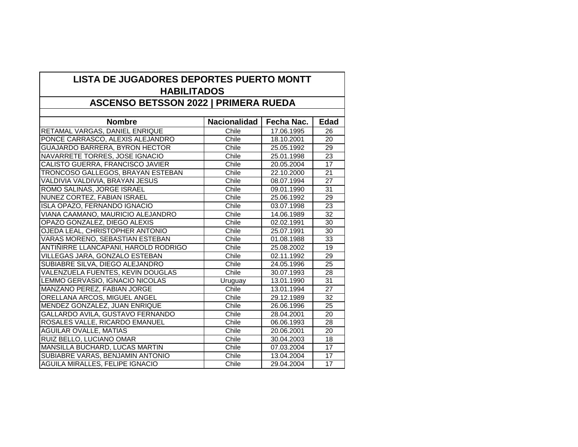| <b>LISTA DE JUGADORES DEPORTES PUERTO MONTT</b><br><b>HABILITADOS</b><br><b>ASCENSO BETSSON 2022   PRIMERA RUEDA</b> |         |            |                 |  |                                |                     |            |             |
|----------------------------------------------------------------------------------------------------------------------|---------|------------|-----------------|--|--------------------------------|---------------------|------------|-------------|
|                                                                                                                      |         |            |                 |  | <b>Nombre</b>                  | <b>Nacionalidad</b> | Fecha Nac. | <b>Edad</b> |
|                                                                                                                      |         |            |                 |  | RETAMAL VARGAS, DANIEL ENRIQUE | Chile               | 17.06.1995 | 26          |
| PONCE CARRASCO, ALEXIS ALEJANDRO                                                                                     | Chile   | 18.10.2001 | 20              |  |                                |                     |            |             |
| <b>GUAJARDO BARRERA, BYRON HECTOR</b>                                                                                | Chile   | 25.05.1992 | 29              |  |                                |                     |            |             |
| NAVARRETE TORRES, JOSE IGNACIO                                                                                       | Chile   | 25.01.1998 | 23              |  |                                |                     |            |             |
| CALISTO GUERRA, FRANCISCO JAVIER                                                                                     | Chile   | 20.05.2004 | 17              |  |                                |                     |            |             |
| TRONCOSO GALLEGOS, BRAYAN ESTEBAN                                                                                    | Chile   | 22.10.2000 | 21              |  |                                |                     |            |             |
| VALDIVIA VALDIVIA, BRAYAN JESUS                                                                                      | Chile   | 08.07.1994 | 27              |  |                                |                     |            |             |
| ROMO SALINAS, JORGE ISRAEL                                                                                           | Chile   | 09.01.1990 | 31              |  |                                |                     |            |             |
| NUNEZ CORTEZ, FABIAN ISRAEL                                                                                          | Chile   | 25.06.1992 | 29              |  |                                |                     |            |             |
| ISLA OPAZO, FERNANDO IGNACIO                                                                                         | Chile   | 03.07.1998 | $\overline{23}$ |  |                                |                     |            |             |
| VIANA CAAMANO, MAURICIO ALEJANDRO                                                                                    | Chile   | 14.06.1989 | 32              |  |                                |                     |            |             |
| OPAZO GONZALEZ, DIEGO ALEXIS                                                                                         | Chile   | 02.02.1991 | 30              |  |                                |                     |            |             |
| OJEDA LEAL, CHRISTOPHER ANTONIO                                                                                      | Chile   | 25.07.1991 | 30              |  |                                |                     |            |             |
| VARAS MORENO, SEBASTIAN ESTEBAN                                                                                      | Chile   | 01.08.1988 | 33              |  |                                |                     |            |             |
| ANTIÑIRRE LLANCAPANI, HAROLD RODRIGO                                                                                 | Chile   | 25.08.2002 | 19              |  |                                |                     |            |             |
| VILLEGAS JARA, GONZALO ESTEBAN                                                                                       | Chile   | 02.11.1992 | 29              |  |                                |                     |            |             |
| SUBIABRE SILVA, DIEGO ALEJANDRO                                                                                      | Chile   | 24.05.1996 | 25              |  |                                |                     |            |             |
| VALENZUELA FUENTES, KEVIN DOUGLAS                                                                                    | Chile   | 30.07.1993 | 28              |  |                                |                     |            |             |
| LEMMO GERVASIO, IGNACIO NICOLAS                                                                                      | Uruguay | 13.01.1990 | 31              |  |                                |                     |            |             |
| MANZANO PEREZ, FABIAN JORGE                                                                                          | Chile   | 13.01.1994 | 27              |  |                                |                     |            |             |
| <b>ORELLANA ARCOS, MIGUEL ANGEL</b>                                                                                  | Chile   | 29.12.1989 | 32              |  |                                |                     |            |             |
| MENDEZ GONZALEZ, JUAN ENRIQUE                                                                                        | Chile   | 26.06.1996 | 25              |  |                                |                     |            |             |
| GALLARDO AVILA, GUSTAVO FERNANDO                                                                                     | Chile   | 28.04.2001 | 20              |  |                                |                     |            |             |
| ROSALES VALLE, RICARDO EMANUEL                                                                                       | Chile   | 06.06.1993 | 28              |  |                                |                     |            |             |
| <b>AGUILAR OVALLE, MATIAS</b>                                                                                        | Chile   | 20.06.2001 | 20              |  |                                |                     |            |             |
| RUIZ BELLO, LUCIANO OMAR                                                                                             | Chile   | 30.04.2003 | 18              |  |                                |                     |            |             |
| MANSILLA BUCHARD, LUCAS MARTIN                                                                                       | Chile   | 07.03.2004 | 17              |  |                                |                     |            |             |
| SUBIABRE VARAS, BENJAMIN ANTONIO                                                                                     | Chile   | 13.04.2004 | 17              |  |                                |                     |            |             |
| <b>AGUILA MIRALLES, FELIPE IGNACIO</b>                                                                               | Chile   | 29.04.2004 | 17              |  |                                |                     |            |             |